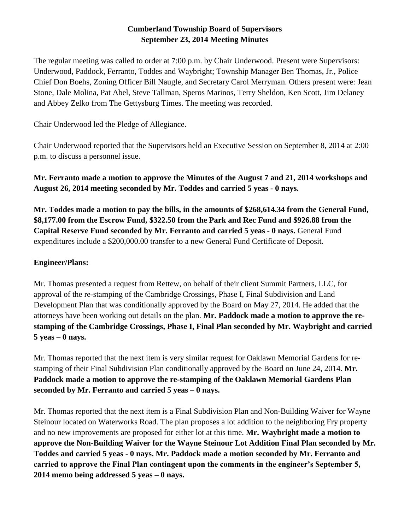## **Cumberland Township Board of Supervisors September 23, 2014 Meeting Minutes**

The regular meeting was called to order at 7:00 p.m. by Chair Underwood. Present were Supervisors: Underwood, Paddock, Ferranto, Toddes and Waybright; Township Manager Ben Thomas, Jr., Police Chief Don Boehs, Zoning Officer Bill Naugle, and Secretary Carol Merryman. Others present were: Jean Stone, Dale Molina, Pat Abel, Steve Tallman, Speros Marinos, Terry Sheldon, Ken Scott, Jim Delaney and Abbey Zelko from The Gettysburg Times. The meeting was recorded.

Chair Underwood led the Pledge of Allegiance.

Chair Underwood reported that the Supervisors held an Executive Session on September 8, 2014 at 2:00 p.m. to discuss a personnel issue.

**Mr. Ferranto made a motion to approve the Minutes of the August 7 and 21, 2014 workshops and August 26, 2014 meeting seconded by Mr. Toddes and carried 5 yeas - 0 nays.** 

**Mr. Toddes made a motion to pay the bills, in the amounts of \$268,614.34 from the General Fund, \$8,177.00 from the Escrow Fund, \$322.50 from the Park and Rec Fund and \$926.88 from the Capital Reserve Fund seconded by Mr. Ferranto and carried 5 yeas - 0 nays.** General Fund expenditures include a \$200,000.00 transfer to a new General Fund Certificate of Deposit.

# **Engineer/Plans:**

Mr. Thomas presented a request from Rettew, on behalf of their client Summit Partners, LLC, for approval of the re-stamping of the Cambridge Crossings, Phase I, Final Subdivision and Land Development Plan that was conditionally approved by the Board on May 27, 2014. He added that the attorneys have been working out details on the plan. **Mr. Paddock made a motion to approve the restamping of the Cambridge Crossings, Phase I, Final Plan seconded by Mr. Waybright and carried 5 yeas – 0 nays.**

Mr. Thomas reported that the next item is very similar request for Oaklawn Memorial Gardens for restamping of their Final Subdivision Plan conditionally approved by the Board on June 24, 2014. **Mr. Paddock made a motion to approve the re-stamping of the Oaklawn Memorial Gardens Plan seconded by Mr. Ferranto and carried 5 yeas – 0 nays.**

Mr. Thomas reported that the next item is a Final Subdivision Plan and Non-Building Waiver for Wayne Steinour located on Waterworks Road. The plan proposes a lot addition to the neighboring Fry property and no new improvements are proposed for either lot at this time. **Mr. Waybright made a motion to approve the Non-Building Waiver for the Wayne Steinour Lot Addition Final Plan seconded by Mr. Toddes and carried 5 yeas - 0 nays. Mr. Paddock made a motion seconded by Mr. Ferranto and carried to approve the Final Plan contingent upon the comments in the engineer's September 5, 2014 memo being addressed 5 yeas – 0 nays.**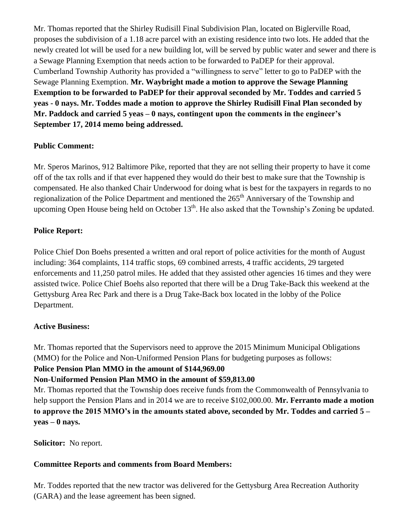Mr. Thomas reported that the Shirley Rudisill Final Subdivision Plan, located on Biglerville Road, proposes the subdivision of a 1.18 acre parcel with an existing residence into two lots. He added that the newly created lot will be used for a new building lot, will be served by public water and sewer and there is a Sewage Planning Exemption that needs action to be forwarded to PaDEP for their approval. Cumberland Township Authority has provided a "willingness to serve" letter to go to PaDEP with the Sewage Planning Exemption. **Mr. Waybright made a motion to approve the Sewage Planning Exemption to be forwarded to PaDEP for their approval seconded by Mr. Toddes and carried 5 yeas - 0 nays. Mr. Toddes made a motion to approve the Shirley Rudisill Final Plan seconded by Mr. Paddock and carried 5 yeas – 0 nays, contingent upon the comments in the engineer's September 17, 2014 memo being addressed.**

### **Public Comment:**

Mr. Speros Marinos, 912 Baltimore Pike, reported that they are not selling their property to have it come off of the tax rolls and if that ever happened they would do their best to make sure that the Township is compensated. He also thanked Chair Underwood for doing what is best for the taxpayers in regards to no regionalization of the Police Department and mentioned the 265<sup>th</sup> Anniversary of the Township and upcoming Open House being held on October  $13<sup>th</sup>$ . He also asked that the Township's Zoning be updated.

### **Police Report:**

Police Chief Don Boehs presented a written and oral report of police activities for the month of August including: 364 complaints, 114 traffic stops, 69 combined arrests, 4 traffic accidents, 29 targeted enforcements and 11,250 patrol miles. He added that they assisted other agencies 16 times and they were assisted twice. Police Chief Boehs also reported that there will be a Drug Take-Back this weekend at the Gettysburg Area Rec Park and there is a Drug Take-Back box located in the lobby of the Police Department.

### **Active Business:**

Mr. Thomas reported that the Supervisors need to approve the 2015 Minimum Municipal Obligations (MMO) for the Police and Non-Uniformed Pension Plans for budgeting purposes as follows:

### **Police Pension Plan MMO in the amount of \$144,969.00**

## **Non-Uniformed Pension Plan MMO in the amount of \$59,813.00**

Mr. Thomas reported that the Township does receive funds from the Commonwealth of Pennsylvania to help support the Pension Plans and in 2014 we are to receive \$102,000.00. **Mr. Ferranto made a motion to approve the 2015 MMO's in the amounts stated above, seconded by Mr. Toddes and carried 5 – yeas – 0 nays.**

**Solicitor:** No report.

## **Committee Reports and comments from Board Members:**

Mr. Toddes reported that the new tractor was delivered for the Gettysburg Area Recreation Authority (GARA) and the lease agreement has been signed.